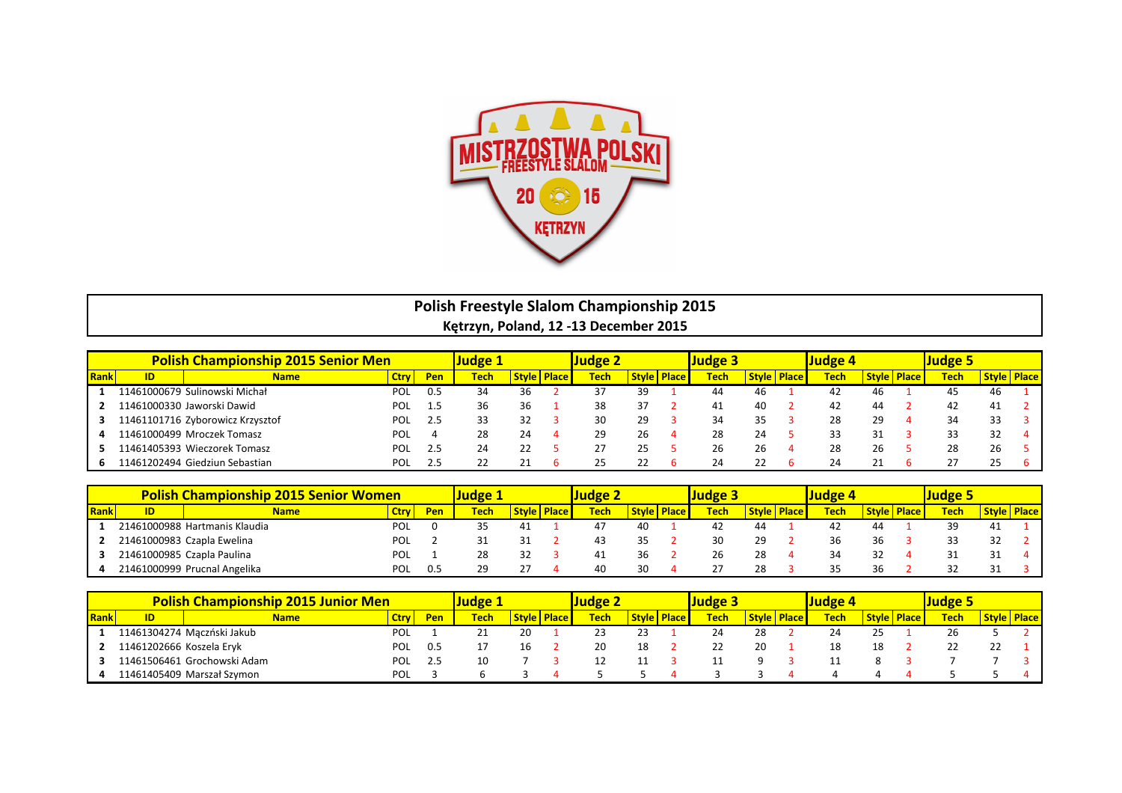

## **Polish Freestyle Slalom Championship 2015** Kętrzyn, Poland, 12 -13 December 2015

|             |     | <b>Polish Championship 2015 Senior Men</b> | ludge :     |            | udge 2      |               |      | Judge 3 |                        |              | Judge 4 |                    |             |    |                      |              |    |                    |
|-------------|-----|--------------------------------------------|-------------|------------|-------------|---------------|------|---------|------------------------|--------------|---------|--------------------|-------------|----|----------------------|--------------|----|--------------------|
| <b>Rank</b> | ID. | <b>Name</b>                                | <b>Ctry</b> | <b>Pen</b> | <b>Tech</b> | Style   Place | Tech |         | <b>Style   Place  </b> | <u> Tech</u> |         | <b>Style Place</b> | <b>Tech</b> |    | <b>Style   Place</b> | <u>Tech </u> |    | <b>Style Place</b> |
|             |     | 11461000679 Sulinowski Michał              | <b>POL</b>  | 0.5        | 34          | 36            | 37   | 39      |                        |              | 46      |                    | 42          | 46 |                      |              | 46 |                    |
|             |     | 11461000330 Jaworski Dawid                 | POL         | 1.5        | 36          | 36            | 38   |         |                        |              | 40      |                    | 42          | 44 |                      |              | 41 |                    |
|             |     | 11461101716 Zyborowicz Krzysztof           | <b>POL</b>  | 2.5        | 33          | 32            | 30   | 29      |                        |              | 35      |                    | 28          | 29 |                      | 34           |    |                    |
|             |     | 11461000499 Mroczek Tomasz                 | POL         |            | 28          | 24            | 29   | 26      |                        | 28           | 24      |                    | 33          |    |                      |              |    |                    |
|             |     | 11461405393 Wieczorek Tomasz               | <b>POL</b>  | 2.5        | 24          | 22            |      |         |                        | Żb           | 26      |                    | 28          | 26 |                      | 28           | 26 |                    |
|             |     | 11461202494 Giedziun Sebastian             | <b>POL</b>  | 2.5        |             | 21            | 25   |         |                        |              |         |                    | 24          |    |                      |              |    |                    |

|      | <b>Polish Championship 2015 Senior Women</b> | Judgel                        |             |     |             |              |              | Judge 3 |              |              |             |              |              |             |              |              |             |       |              |
|------|----------------------------------------------|-------------------------------|-------------|-----|-------------|--------------|--------------|---------|--------------|--------------|-------------|--------------|--------------|-------------|--------------|--------------|-------------|-------|--------------|
| Rank | ID                                           | <b>Name</b>                   | <b>Ctry</b> | Pen | <b>Tech</b> | <b>Style</b> | <b>Place</b> | Tech    | <b>Style</b> | <b>Place</b> | <b>Tech</b> | <b>Style</b> | <b>Place</b> | <b>Tech</b> | <b>Style</b> | <u>Place</u> | <b>Tech</b> | Style | <b>Place</b> |
|      |                                              | 21461000988 Hartmanis Klaudia | <b>POL</b>  |     |             | 41           |              |         | 40           |              |             |              |              | 44          | 44           |              |             |       |              |
|      |                                              | 21461000983 Czapla Ewelina    | POL         |     |             |              |              |         |              |              |             | 29           |              | 36          | 36           |              |             |       |              |
|      |                                              | 21461000985 Czapla Paulina    | POL         |     | 28          | 32           |              |         | 36           |              |             | 28           |              |             |              |              |             |       |              |
|      |                                              | 21461000999 Prucnal Angelika  | POL         |     |             |              |              | 40      | 30           |              |             | 28           |              | 35          | 36           |              |             |       |              |

|      |                          | <b>Polish Championship 2015 Junior Men</b> |      |     |             |              |             | Judge 3      |        |      |              |              |             |              |       |             |              |
|------|--------------------------|--------------------------------------------|------|-----|-------------|--------------|-------------|--------------|--------|------|--------------|--------------|-------------|--------------|-------|-------------|--------------|
| Rank | ID                       | Name                                       | Ctry | Pen | <b>Tech</b> | <b>Style</b> | <b>Tech</b> | <b>Style</b> | Place. | Tech | <b>Style</b> | <b>Place</b> | <b>Tech</b> | <b>Style</b> | Place | <b>Tech</b> | <b>Place</b> |
|      |                          | 11461304274 Mączński Jakub                 | POL  |     |             | 20           | 23          | 23           |        |      | 28           |              | 24          | رے           |       | 26          |              |
|      | 11461202666 Koszela Eryk |                                            | POL  | 0.5 |             | 16           | 20          | 18           |        |      | 20           |              | 18          | 18           |       |             |              |
|      |                          | 11461506461 Grochowski Adam                | POL  |     |             |              |             |              |        |      |              |              |             |              |       |             |              |
|      |                          | 11461405409 Marszał Szymon                 | POL  |     |             |              |             |              |        |      |              |              |             |              |       |             |              |